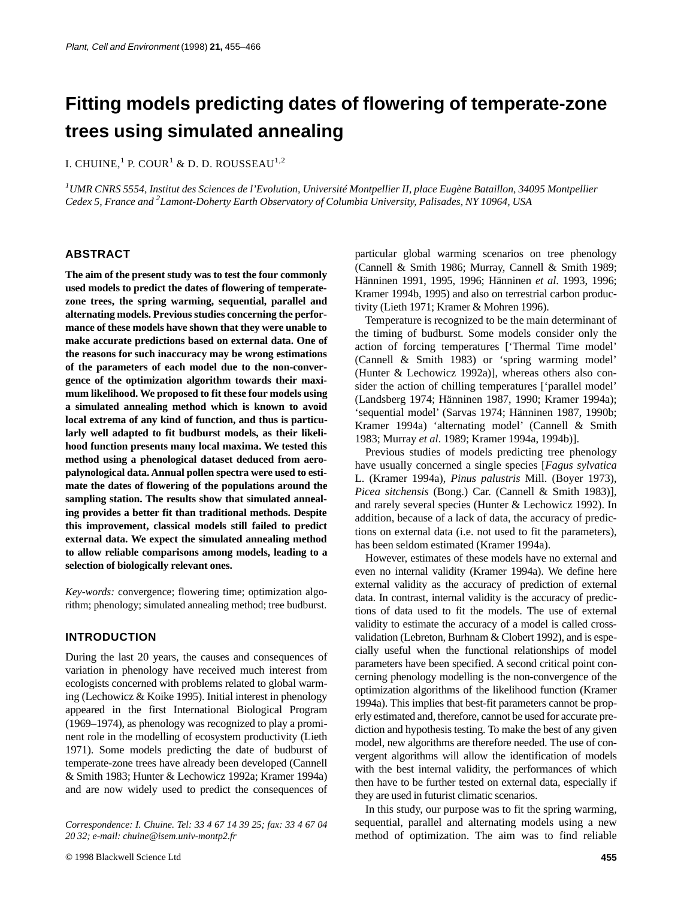# **Fitting models predicting dates of flowering of temperate-zone trees using simulated annealing**

L. CHUINE,  ${}^{1}$  P. COUR<sup>1</sup> & D. D. ROUSSEAU<sup>1,2</sup>

*1 UMR CNRS 5554, Institut des Sciences de l'Evolution, Université Montpellier II, place Eugène Bataillon, 34095 Montpellier Cedex 5, France and 2 Lamont-Doherty Earth Observatory of Columbia University, Palisades, NY 10964, USA*

## **ABSTRACT**

**The aim of the present study was to test the four commonly used models to predict the dates of flowering of temperatezone trees, the spring warming, sequential, parallel and alternating models. Previous studies concerning the performance of these models have shown that they were unable to make accurate predictions based on external data. One of the reasons for such inaccuracy may be wrong estimations of the parameters of each model due to the non-convergence of the optimization algorithm towards their maximum likelihood. We proposed to fit these four models using a simulated annealing method which is known to avoid local extrema of any kind of function, and thus is particularly well adapted to fit budburst models, as their likelihood function presents many local maxima. We tested this method using a phenological dataset deduced from aeropalynological data. Annual pollen spectra were used to estimate the dates of flowering of the populations around the sampling station. The results show that simulated annealing provides a better fit than traditional methods. Despite this improvement, classical models still failed to predict external data. We expect the simulated annealing method to allow reliable comparisons among models, leading to a selection of biologically relevant ones.**

*Key-words:* convergence; flowering time; optimization algorithm; phenology; simulated annealing method; tree budburst.

# **INTRODUCTION**

During the last 20 years, the causes and consequences of variation in phenology have received much interest from ecologists concerned with problems related to global warming (Lechowicz & Koike 1995). Initial interest in phenology appeared in the first International Biological Program (1969–1974), as phenology was recognized to play a prominent role in the modelling of ecosystem productivity (Lieth 1971). Some models predicting the date of budburst of temperate-zone trees have already been developed (Cannell & Smith 1983; Hunter & Lechowicz 1992a; Kramer 1994a) and are now widely used to predict the consequences of

particular global warming scenarios on tree phenology (Cannell & Smith 1986; Murray, Cannell & Smith 1989; Hänninen 1991, 1995, 1996; Hänninen *et al*. 1993, 1996; Kramer 1994b, 1995) and also on terrestrial carbon productivity (Lieth 1971; Kramer & Mohren 1996).

Temperature is recognized to be the main determinant of the timing of budburst. Some models consider only the action of forcing temperatures ['Thermal Time model' (Cannell & Smith 1983) or 'spring warming model' (Hunter & Lechowicz 1992a)], whereas others also consider the action of chilling temperatures ['parallel model' (Landsberg 1974; Hänninen 1987, 1990; Kramer 1994a); 'sequential model' (Sarvas 1974; Hänninen 1987, 1990b; Kramer 1994a) 'alternating model' (Cannell & Smith 1983; Murray *et al*. 1989; Kramer 1994a, 1994b)].

Previous studies of models predicting tree phenology have usually concerned a single species [*Fagus sylvatica* L. (Kramer 1994a), *Pinus palustris* Mill. (Boyer 1973), *Picea sitchensis* (Bong.) Car. (Cannell & Smith 1983)], and rarely several species (Hunter & Lechowicz 1992). In addition, because of a lack of data, the accuracy of predictions on external data (i.e. not used to fit the parameters), has been seldom estimated (Kramer 1994a).

However, estimates of these models have no external and even no internal validity (Kramer 1994a). We define here external validity as the accuracy of prediction of external data. In contrast, internal validity is the accuracy of predictions of data used to fit the models. The use of external validity to estimate the accuracy of a model is called crossvalidation (Lebreton, Burhnam & Clobert 1992), and is especially useful when the functional relationships of model parameters have been specified. A second critical point concerning phenology modelling is the non-convergence of the optimization algorithms of the likelihood function (Kramer 1994a). This implies that best-fit parameters cannot be properly estimated and, therefore, cannot be used for accurate prediction and hypothesis testing. To make the best of any given model, new algorithms are therefore needed. The use of convergent algorithms will allow the identification of models with the best internal validity, the performances of which then have to be further tested on external data, especially if they are used in futurist climatic scenarios.

In this study, our purpose was to fit the spring warming, sequential, parallel and alternating models using a new method of optimization. The aim was to find reliable

*Correspondence: I. Chuine. Tel: 33 4 67 14 39 25; fax: 33 4 67 04 20 32; e-mail: chuine@isem.univ-montp2.fr*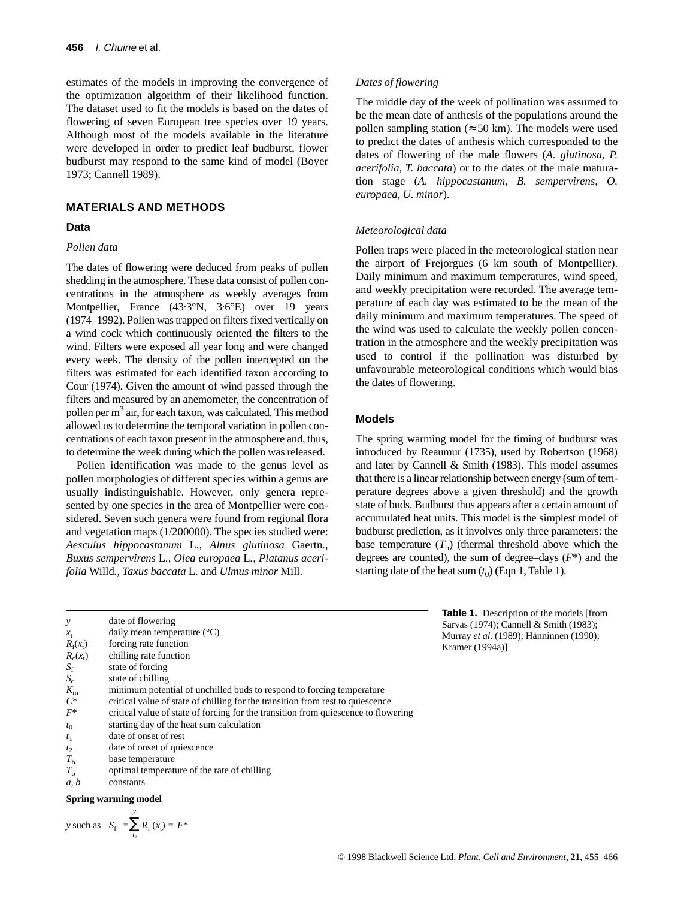estimates of the models in improving the convergence of the optimization algorithm of their likelihood function. The dataset used to fit the models is based on the dates of flowering of seven European tree species over 19 years. Although most of the models available in the literature were developed in order to predict leaf budburst, flower budburst may respond to the same kind of model (Boyer 1973; Cannell 1989).

# **MATERIALS AND METHODS**

## **Data**

# *Pollen data*

The dates of flowering were deduced from peaks of pollen shedding in the atmosphere. These data consist of pollen concentrations in the atmosphere as weekly averages from Montpellier, France (43·3°N, 3·6°E) over 19 years (1974–1992). Pollen was trapped on filters fixed vertically on a wind cock which continuously oriented the filters to the wind. Filters were exposed all year long and were changed every week. The density of the pollen intercepted on the filters was estimated for each identified taxon according to Cour (1974). Given the amount of wind passed through the filters and measured by an anemometer, the concentration of pollen per m<sup>3</sup> air, for each taxon, was calculated. This method allowed us to determine the temporal variation in pollen concentrations of each taxon present in the atmosphere and, thus, to determine the week during which the pollen was released.

Pollen identification was made to the genus level as pollen morphologies of different species within a genus are usually indistinguishable. However, only genera represented by one species in the area of Montpellier were considered. Seven such genera were found from regional flora and vegetation maps (1/200000). The species studied were: *Aesculus hippocastanum* L*.*, *Alnus glutinosa* Gaertn*., Buxus sempervirens* L*., Olea europaea* L*., Platanus acerifolia* Willd*., Taxus baccata* L*.* and *Ulmus minor* Mill.

*Dates of flowering*

The middle day of the week of pollination was assumed to be the mean date of anthesis of the populations around the pollen sampling station ( $\approx$  50 km). The models were used to predict the dates of anthesis which corresponded to the dates of flowering of the male flowers (*A. glutinosa, P. acerifolia, T. baccata*) or to the dates of the male maturation stage (*A. hippocastanum*, *B. sempervirens, O. europaea, U. minor*).

# *Meteorological data*

Pollen traps were placed in the meteorological station near the airport of Frejorgues (6 km south of Montpellier). Daily minimum and maximum temperatures, wind speed, and weekly precipitation were recorded. The average temperature of each day was estimated to be the mean of the daily minimum and maximum temperatures. The speed of the wind was used to calculate the weekly pollen concentration in the atmosphere and the weekly precipitation was used to control if the pollination was disturbed by unfavourable meteorological conditions which would bias the dates of flowering.

# **Models**

The spring warming model for the timing of budburst was introduced by Reaumur (1735), used by Robertson (1968) and later by Cannell & Smith (1983). This model assumes that there is a linear relationship between energy (sum of temperature degrees above a given threshold) and the growth state of buds. Budburst thus appears after a certain amount of accumulated heat units. This model is the simplest model of budburst prediction, as it involves only three parameters: the base temperature  $(T<sub>b</sub>)$  (thermal threshold above which the degrees are counted), the sum of degree–days (*F*\*) and the starting date of the heat sum  $(t_0)$  (Eqn 1, Table 1).

| у                      | date of flowering                                                                  |
|------------------------|------------------------------------------------------------------------------------|
| $x_{t}$                | daily mean temperature $(^{\circ}C)$                                               |
| $R_{\rm f}(x_{\rm t})$ | forcing rate function                                                              |
| $R_c(x_t)$             | chilling rate function                                                             |
| $S_{\rm f}$            | state of forcing                                                                   |
| $S_c$                  | state of chilling                                                                  |
| $K_{\rm m}$            | minimum potential of unchilled buds to respond to forcing temperature              |
| $C^*$                  | critical value of state of chilling for the transition from rest to quiescence     |
| $F^*$                  | critical value of state of forcing for the transition from quiescence to flowering |
| $t_{0}$                | starting day of the heat sum calculation                                           |
| t <sub>1</sub>         | date of onset of rest                                                              |
| $t_2$                  | date of onset of quiescence                                                        |
| $T_{\rm b}$            | base temperature                                                                   |
| $T_{\alpha}$           | optimal temperature of the rate of chilling                                        |
| a, b                   | constants                                                                          |
|                        |                                                                                    |

#### **Spring warming model**

$$
y \text{ such as } S_f = \sum_{t_0}^{y} R_f(x_t) = F^*
$$

**Table 1.** Description of the models [from Sarvas (1974); Cannell & Smith (1983); Murray *et al*. (1989); Hänninnen (1990); Kramer (1994a)]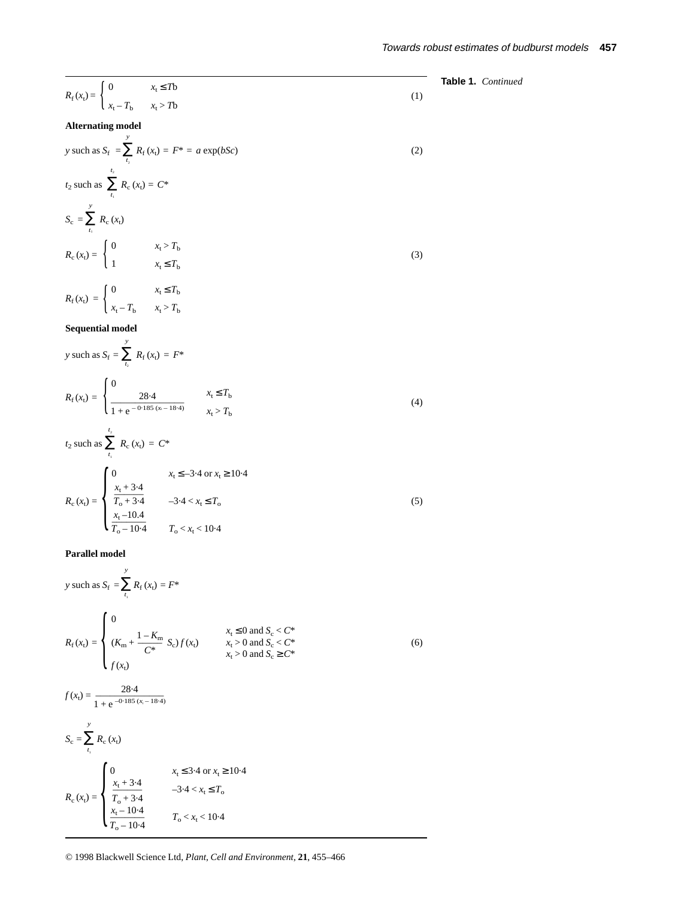$$
R_{f}(x_{t}) = \begin{cases} 0 & x_{t} \leq Tb \\ x_{t} - T_{b} & x_{t} > Tb \end{cases}
$$
 (1)  
**Alternating model**  
*y* such as  $S_{f} = \sum_{t_{2}}^{y} R_{f}(x_{t}) = F^{*} = a \exp(bSc)$  (2)

$$
t_2 \text{ such as } \sum_{t_1}^{t_2} R_c(x_t) = C^*
$$
  

$$
S_c = \sum_{t_1}^{y} R_c(x_t)
$$
  

$$
R_c(x_t) = \begin{cases} 0 & x_t > T_b \\ 1 & x_t \le T_b \end{cases}
$$
  

$$
R_c(x_t) = \begin{cases} 0 & x_t \le T_b \end{cases}
$$
 (3)

 $R_f(x_t)$  $\begin{cases} x_t - T_b & x_t > T_b \end{cases}$ 

# **Sequential model**

y such as 
$$
S_f = \sum_{t_2}^{y} R_f(x_t) = F^*
$$
  
\n
$$
R_f(x_t) = \begin{cases} 0 & x_t \le T_b \\ \frac{28.4}{1 + e^{-0.185 (x_t - 18.4)}} & x_t > T_b \end{cases}
$$
\n
$$
t_2 \text{ such as } \sum_{t_1}^{t_2} R_c(x_t) = C^*
$$
\n
$$
R_c(x_t) = \begin{cases} 0 & x_t \le -3.4 \text{ or } x_t \ge 10.4 \\ \frac{x_t + 3.4}{T_o + 3.4} & -3.4 < x_t \le T_o \\ \frac{x_t - 10.4}{T_o - 10.4} & T_o < x_t < 10.4 \end{cases}
$$
\n(5)

# **Parallel model**

y such as 
$$
S_f = \sum_{t_i}^{y} R_f(x_t) = F^*
$$

$$
R_{\rm f}(x_{\rm t}) = \begin{cases} 0 & x_{\rm t} \le 0 \text{ and } S_{\rm c} < C^* \\ (K_{\rm m} + \frac{1 - K_{\rm m}}{C^*} S_{\rm c}) f(x_{\rm t}) & x_{\rm t} > 0 \text{ and } S_{\rm c} < C^* \\ f(x_{\rm t}) & x_{\rm t} > 0 \text{ and } S_{\rm c} \ge C^* \end{cases} \tag{6}
$$

$$
f(x_t) = \frac{2644}{1 + e^{-0.185 (x_t - 184)}}
$$
  
\n
$$
S_c = \sum_{t_1}^{y} R_c (x_t)
$$
  
\n
$$
R_c (x_t) = \begin{cases} 0 & x_t \le 3.4 \text{ or } x_t \ge 10.4 \\ \frac{x_t + 3.4}{T_o + 3.4} & -3.4 < x_t \le T_o \\ \frac{x_t - 10.4}{T_o - 10.4} & T_o < x_t < 10.4 \end{cases}
$$

| (1) | Table 1. Continued |
|-----|--------------------|
| (2) |                    |
| (3) |                    |
|     |                    |
| (4) |                    |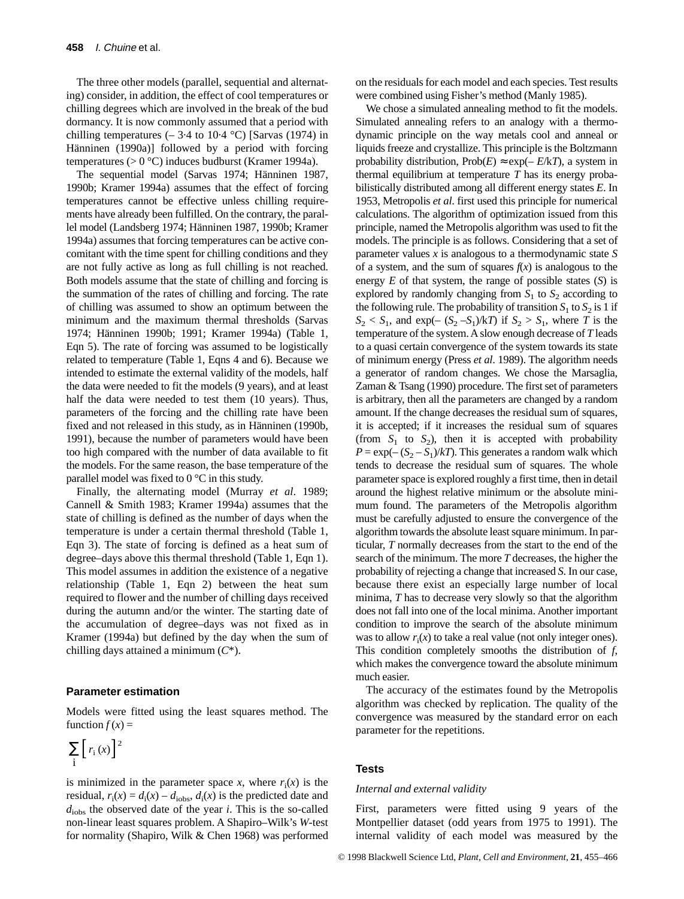The three other models (parallel, sequential and alternating) consider, in addition, the effect of cool temperatures or chilling degrees which are involved in the break of the bud dormancy. It is now commonly assumed that a period with chilling temperatures  $(-3.4 \text{ to } 10.4 \text{ °C})$  [Sarvas (1974) in Hänninen (1990a)] followed by a period with forcing temperatures ( $> 0$  °C) induces budburst (Kramer 1994a).

The sequential model (Sarvas 1974; Hänninen 1987, 1990b; Kramer 1994a) assumes that the effect of forcing temperatures cannot be effective unless chilling requirements have already been fulfilled. On the contrary, the parallel model (Landsberg 1974; Hänninen 1987, 1990b; Kramer 1994a) assumes that forcing temperatures can be active concomitant with the time spent for chilling conditions and they are not fully active as long as full chilling is not reached. Both models assume that the state of chilling and forcing is the summation of the rates of chilling and forcing. The rate of chilling was assumed to show an optimum between the minimum and the maximum thermal thresholds (Sarvas 1974; Hänninen 1990b; 1991; Kramer 1994a) (Table 1, Eqn 5). The rate of forcing was assumed to be logistically related to temperature (Table 1, Eqns 4 and 6). Because we intended to estimate the external validity of the models, half the data were needed to fit the models (9 years), and at least half the data were needed to test them (10 years). Thus, parameters of the forcing and the chilling rate have been fixed and not released in this study, as in Hänninen (1990b, 1991), because the number of parameters would have been too high compared with the number of data available to fit the models. For the same reason, the base temperature of the parallel model was fixed to  $0^{\circ}$ C in this study.

Finally, the alternating model (Murray *et al*. 1989; Cannell & Smith 1983; Kramer 1994a) assumes that the state of chilling is defined as the number of days when the temperature is under a certain thermal threshold (Table 1, Eqn 3). The state of forcing is defined as a heat sum of degree–days above this thermal threshold (Table 1, Eqn 1). This model assumes in addition the existence of a negative relationship (Table 1, Eqn 2) between the heat sum required to flower and the number of chilling days received during the autumn and/or the winter. The starting date of the accumulation of degree–days was not fixed as in Kramer (1994a) but defined by the day when the sum of chilling days attained a minimum (*C*\*).

## **Parameter estimation**

Models were fitted using the least squares method. The function  $f(x) =$ 

$$
\sum_{\mathbf{i}} \left[ \, r_{\mathbf{i}} \left( x \right) \right]^{2}
$$

is minimized in the parameter space  $x$ , where  $r_i(x)$  is the residual,  $r_i(x) = d_i(x) - d_{iobs}, d_i(x)$  is the predicted date and *d*iobs the observed date of the year *i*. This is the so-called non-linear least squares problem. A Shapiro–Wilk's *W*-test for normality (Shapiro, Wilk & Chen 1968) was performed on the residuals for each model and each species. Test results were combined using Fisher's method (Manly 1985).

We chose a simulated annealing method to fit the models. Simulated annealing refers to an analogy with a thermodynamic principle on the way metals cool and anneal or liquids freeze and crystallize. This principle is the Boltzmann probability distribution,  $Prob(E) \approx exp(-E/kT)$ , a system in thermal equilibrium at temperature *T* has its energy probabilistically distributed among all different energy states *E*. In 1953, Metropolis *et al*. first used this principle for numerical calculations. The algorithm of optimization issued from this principle, named the Metropolis algorithm was used to fit the models. The principle is as follows. Considering that a set of parameter values *x* is analogous to a thermodynamic state *S* of a system, and the sum of squares  $f(x)$  is analogous to the energy *E* of that system, the range of possible states (*S*) is explored by randomly changing from  $S_1$  to  $S_2$  according to the following rule. The probability of transition  $S_1$  to  $S_2$  is 1 if  $S_2 < S_1$ , and exp(–  $(S_2 - S_1)/kT$ ) if  $S_2 > S_1$ , where *T* is the temperature of the system. Aslow enough decrease of *T* leads to a quasi certain convergence of the system towards its state of minimum energy (Press *et al*. 1989). The algorithm needs a generator of random changes. We chose the Marsaglia, Zaman & Tsang (1990) procedure. The first set of parameters is arbitrary, then all the parameters are changed by a random amount. If the change decreases the residual sum of squares, it is accepted; if it increases the residual sum of squares (from  $S_1$  to  $S_2$ ), then it is accepted with probability  $P = \exp(-(S_2 - S_1)/kT)$ . This generates a random walk which tends to decrease the residual sum of squares. The whole parameter space is explored roughly a first time, then in detail around the highest relative minimum or the absolute minimum found. The parameters of the Metropolis algorithm must be carefully adjusted to ensure the convergence of the algorithm towards the absolute least square minimum. In particular, *T* normally decreases from the start to the end of the search of the minimum. The more *T* decreases, the higher the probability of rejecting a change that increased *S*. In our case, because there exist an especially large number of local minima, *T* has to decrease very slowly so that the algorithm does not fall into one of the local minima. Another important condition to improve the search of the absolute minimum was to allow  $r_i(x)$  to take a real value (not only integer ones). This condition completely smooths the distribution of *f*, which makes the convergence toward the absolute minimum much easier.

The accuracy of the estimates found by the Metropolis algorithm was checked by replication. The quality of the convergence was measured by the standard error on each parameter for the repetitions.

## **Tests**

#### *Internal and external validity*

First, parameters were fitted using 9 years of the Montpellier dataset (odd years from 1975 to 1991). The internal validity of each model was measured by the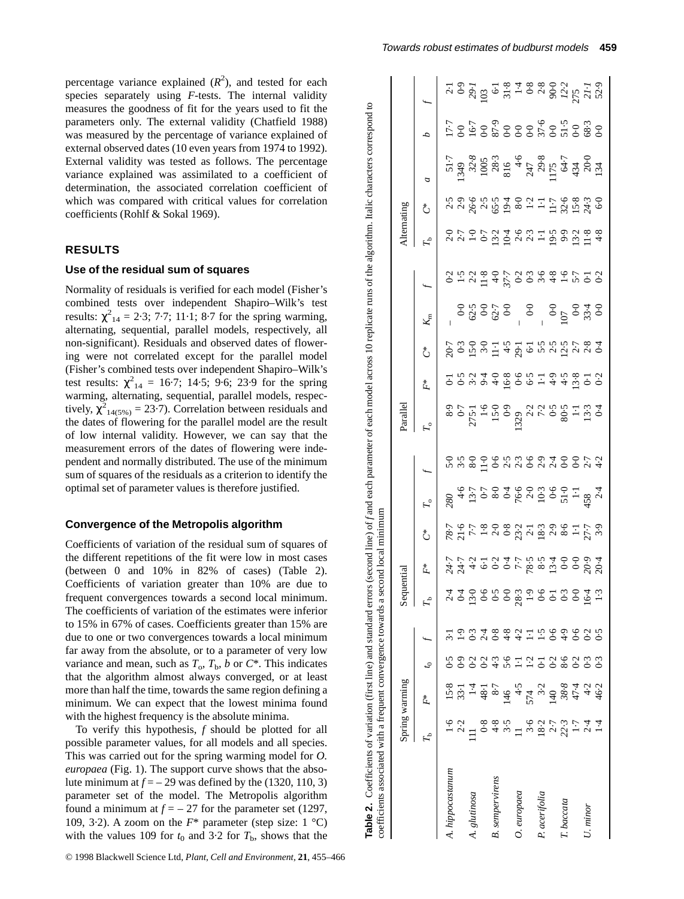percentage variance explained  $(R^2)$ , and tested for each species separately using *F*-tests. The internal validity measures the goodness of fit for the years used to fit the parameters only. The external validity (Chatfield 1988) was measured by the percentage of variance explained of external observed dates (10 even years from 1974 to 1992). External validity was tested as follows. The percentage variance explained was assimilated to a coefficient of determination, the associated correlation coefficient of which was compared with critical values for correlation coefficients (Rohlf & Sokal 1969).

## **RESULTS**

## **Use of the residual sum of squares**

Normality of residuals is verified for each model (Fisher's combined tests over independent Shapiro–Wilk's test results:  $\chi^2_{14} = 2.3$ ; 7.7; 11.1; 8.7 for the spring warming, alternating, sequential, parallel models, respectively, all non-significant). Residuals and observed dates of flowering were not correlated except for the parallel model (Fisher's combined tests over independent Shapiro–Wilk's test results:  $\chi^2_{14} = 16.7$ ; 14.5; 9.6; 23.9 for the spring warming, alternating, sequential, parallel models, respectively,  $\chi^2_{14(5\%)} = 23.7$ ). Correlation between residuals and the dates of flowering for the parallel model are the result of low internal validity. However, we can say that the measurement errors of the dates of flowering were independent and normally distributed. The use of the minimum sum of squares of the residuals as a criterion to identify the optimal set of parameter values is therefore justified.

## **Convergence of the Metropolis algorithm**

Coefficients of variation of the residual sum of squares of the different repetitions of the fit were low in most cases (between 0 and 10% in 82% of cases) (Table 2). Coefficients of variation greater than 10% are due to frequent convergences towards a second local minimum. The coefficients of variation of the estimates were inferior to 15% in 67% of cases. Coefficients greater than 15% are due to one or two convergences towards a local minimum far away from the absolute, or to a parameter of very low variance and mean, such as  $T_o$ ,  $T_b$ , *b* or *C*\*. This indicates that the algorithm almost always converged, or at least more than half the time, towards the same region defining a minimum. We can expect that the lowest minima found with the highest frequency is the absolute minima.

To verify this hypothesis, *f* should be plotted for all possible parameter values, for all models and all species. This was carried out for the spring warming model for *O. europaea* (Fig. 1). The support curve shows that the absolute minimum at  $f = -29$  was defined by the (1320, 110, 3) parameter set of the model. The Metropolis algorithm found a minimum at  $f = -27$  for the parameter set (1297, 109, 3.2). A zoom on the  $F^*$  parameter (step size: 1 °C) with the values 109 for  $t_0$  and 3.2 for  $T_b$ , shows that the

|               |                                                                         | Spring warming |                                                          | Seque                                         |                                     |   |             |                                                                | Parallel              |                                                                                                                                                                                                                                                                                                                     |                                                                                                                                                                                                                                                                                                                     |             |                                  | Alternating                        |                                    |                                                                                                                                                                                 |                                                                                                                                                                                                                                                                                                                                                      |
|---------------|-------------------------------------------------------------------------|----------------|----------------------------------------------------------|-----------------------------------------------|-------------------------------------|---|-------------|----------------------------------------------------------------|-----------------------|---------------------------------------------------------------------------------------------------------------------------------------------------------------------------------------------------------------------------------------------------------------------------------------------------------------------|---------------------------------------------------------------------------------------------------------------------------------------------------------------------------------------------------------------------------------------------------------------------------------------------------------------------|-------------|----------------------------------|------------------------------------|------------------------------------|---------------------------------------------------------------------------------------------------------------------------------------------------------------------------------|------------------------------------------------------------------------------------------------------------------------------------------------------------------------------------------------------------------------------------------------------------------------------------------------------------------------------------------------------|
|               |                                                                         | ř,             |                                                          | $F_{\rm p}$                                   | ř,                                  | ڴ | $F_{\circ}$ |                                                                | $\mathcal{L}^{\circ}$ | ř.                                                                                                                                                                                                                                                                                                                  | ػ                                                                                                                                                                                                                                                                                                                   | $K_{\rm m}$ |                                  | $F_{\rm e}$                        | ػٞ                                 | a                                                                                                                                                                               |                                                                                                                                                                                                                                                                                                                                                      |
| hippocastanum |                                                                         |                |                                                          |                                               |                                     |   |             |                                                                |                       |                                                                                                                                                                                                                                                                                                                     |                                                                                                                                                                                                                                                                                                                     |             |                                  |                                    |                                    |                                                                                                                                                                                 |                                                                                                                                                                                                                                                                                                                                                      |
|               |                                                                         |                |                                                          |                                               |                                     |   |             |                                                                |                       |                                                                                                                                                                                                                                                                                                                     |                                                                                                                                                                                                                                                                                                                     |             |                                  |                                    |                                    |                                                                                                                                                                                 |                                                                                                                                                                                                                                                                                                                                                      |
| . glutinosa   |                                                                         |                | ちゅうこうがい 1 2 1 2 9 2 9 2 9 2<br>ひひひひひょう 1 2 0 0 8 0 0 0 0 | 20cm00cm10000cm1. 440 6 cm0cm0cm0cm0cm0cm0cm0 | ていこうこうてき こっていてん さんしゅうしょうしってき とうしつひん |   |             | c v c c c v v c c v y c c y 4<br>c v c c c v v c c y y c c y 4 |                       | $\frac{1}{1}$ $\frac{1}{2}$ $\frac{1}{2}$ $\frac{1}{2}$ $\frac{1}{2}$ $\frac{1}{2}$ $\frac{1}{2}$ $\frac{1}{2}$ $\frac{1}{2}$ $\frac{1}{2}$ $\frac{1}{2}$ $\frac{1}{2}$ $\frac{1}{2}$ $\frac{1}{2}$ $\frac{1}{2}$ $\frac{1}{2}$ $\frac{1}{2}$ $\frac{1}{2}$ $\frac{1}{2}$ $\frac{1}{2}$ $\frac{1}{2}$ $\frac{1}{2}$ | $\frac{1}{2}$ $\frac{3}{2}$ $\frac{5}{2}$ $\frac{3}{2}$ $\frac{1}{2}$ $\frac{4}{3}$ $\frac{3}{2}$ $\frac{5}{2}$ $\frac{6}{3}$ $\frac{6}{3}$ $\frac{6}{3}$ $\frac{6}{3}$ $\frac{6}{3}$ $\frac{6}{3}$ $\frac{6}{3}$ $\frac{6}{3}$ $\frac{6}{3}$ $\frac{6}{3}$ $\frac{6}{3}$ $\frac{6}{3}$ $\frac{6}{3}$ $\frac{6}{3}$ |             | ついこばんでいるですようののことには、これでいいこともしろいい。 | ひていていれん シーマのジョル<br>ウマントリー マーマー マード | さいかいさんかい コロジェム こうぶつ いっかい いっかい いっかい | $\frac{51.7}{1349}$<br>$\frac{22.8}{32.8}$<br>$\frac{22.8}{32.8}$<br>$\frac{125}{32.8}$<br>$\frac{125}{32.4}$<br>$\frac{125}{32.4}$<br>$\frac{125}{32.4}$<br>$\frac{125}{32.4}$ | $\frac{1}{2}$<br>$\frac{3}{2}$<br>$\frac{3}{2}$<br>$\frac{1}{2}$<br>$\frac{3}{2}$<br>$\frac{1}{2}$<br>$\frac{3}{2}$<br>$\frac{3}{2}$<br>$\frac{3}{2}$<br>$\frac{3}{2}$<br>$\frac{3}{2}$<br>$\frac{3}{2}$<br>$\frac{3}{2}$<br>$\frac{3}{2}$<br>$\frac{3}{2}$<br>$\frac{3}{2}$<br>$\frac{3}{2}$<br>$\frac{3}{2}$<br>$\frac{3}{2}$<br>$\frac{3}{2}$<br> |
|               |                                                                         |                |                                                          |                                               |                                     |   |             |                                                                |                       |                                                                                                                                                                                                                                                                                                                     |                                                                                                                                                                                                                                                                                                                     |             |                                  |                                    |                                    |                                                                                                                                                                                 |                                                                                                                                                                                                                                                                                                                                                      |
| sempervirens  |                                                                         |                |                                                          |                                               |                                     |   |             |                                                                |                       |                                                                                                                                                                                                                                                                                                                     |                                                                                                                                                                                                                                                                                                                     |             |                                  |                                    |                                    |                                                                                                                                                                                 |                                                                                                                                                                                                                                                                                                                                                      |
|               |                                                                         |                |                                                          |                                               |                                     |   |             |                                                                |                       |                                                                                                                                                                                                                                                                                                                     |                                                                                                                                                                                                                                                                                                                     |             |                                  |                                    |                                    |                                                                                                                                                                                 |                                                                                                                                                                                                                                                                                                                                                      |
| europaea      |                                                                         |                |                                                          |                                               |                                     |   |             |                                                                |                       |                                                                                                                                                                                                                                                                                                                     |                                                                                                                                                                                                                                                                                                                     |             |                                  |                                    |                                    |                                                                                                                                                                                 |                                                                                                                                                                                                                                                                                                                                                      |
|               |                                                                         |                |                                                          |                                               |                                     |   |             |                                                                |                       |                                                                                                                                                                                                                                                                                                                     |                                                                                                                                                                                                                                                                                                                     |             |                                  |                                    |                                    |                                                                                                                                                                                 |                                                                                                                                                                                                                                                                                                                                                      |
| P acerifolic  |                                                                         |                |                                                          |                                               |                                     |   |             |                                                                |                       |                                                                                                                                                                                                                                                                                                                     |                                                                                                                                                                                                                                                                                                                     |             |                                  |                                    |                                    |                                                                                                                                                                                 |                                                                                                                                                                                                                                                                                                                                                      |
|               |                                                                         |                |                                                          |                                               |                                     |   |             |                                                                |                       |                                                                                                                                                                                                                                                                                                                     |                                                                                                                                                                                                                                                                                                                     |             |                                  |                                    |                                    |                                                                                                                                                                                 |                                                                                                                                                                                                                                                                                                                                                      |
| . baccata     | $0.385$ $0.497$ $0.497$ $0.497$ $0.497$ $0.497$ $0.497$ $0.497$ $0.497$ |                |                                                          |                                               |                                     |   |             |                                                                |                       |                                                                                                                                                                                                                                                                                                                     |                                                                                                                                                                                                                                                                                                                     |             |                                  |                                    |                                    |                                                                                                                                                                                 |                                                                                                                                                                                                                                                                                                                                                      |
|               |                                                                         |                |                                                          |                                               |                                     |   |             |                                                                |                       |                                                                                                                                                                                                                                                                                                                     |                                                                                                                                                                                                                                                                                                                     |             |                                  |                                    |                                    |                                                                                                                                                                                 |                                                                                                                                                                                                                                                                                                                                                      |
| J. minor      |                                                                         |                |                                                          |                                               |                                     |   |             |                                                                |                       |                                                                                                                                                                                                                                                                                                                     |                                                                                                                                                                                                                                                                                                                     |             |                                  |                                    |                                    |                                                                                                                                                                                 |                                                                                                                                                                                                                                                                                                                                                      |
|               |                                                                         |                |                                                          |                                               |                                     |   |             |                                                                |                       |                                                                                                                                                                                                                                                                                                                     |                                                                                                                                                                                                                                                                                                                     |             |                                  |                                    |                                    |                                                                                                                                                                                 |                                                                                                                                                                                                                                                                                                                                                      |
|               |                                                                         |                |                                                          |                                               |                                     |   |             |                                                                |                       |                                                                                                                                                                                                                                                                                                                     |                                                                                                                                                                                                                                                                                                                     |             |                                  |                                    |                                    |                                                                                                                                                                                 |                                                                                                                                                                                                                                                                                                                                                      |

**Table 2.** Coefficients of variation (first line) and standard errors (second line) of

*f* and each parameter of each model across 10 replicate runs of the algorithm. Italic characters correspond to

Table 2. Coefficients of variation (first line) and standard errors (second line) of f and each parameter of each model across 10 replicate runs of the algorithm. Italic characters correspond to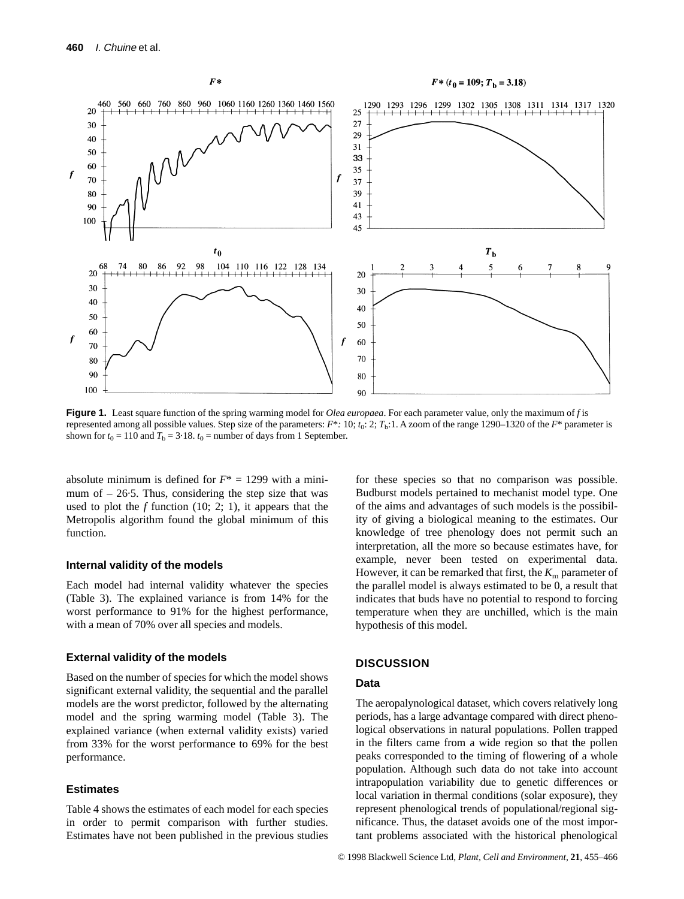

**Figure 1.** Least square function of the spring warming model for *Olea europaea*. For each parameter value, only the maximum of *f* is represented among all possible values. Step size of the parameters: *F*\**:* 10; *t*0: 2; *T*b:1. A zoom of the range 1290–1320 of the *F*\* parameter is shown for  $t_0 = 110$  and  $T_b = 3.18$ .  $t_0 =$  number of days from 1 September.

absolute minimum is defined for  $F^* = 1299$  with a minimum of  $-26.5$ . Thus, considering the step size that was used to plot the *f* function (10; 2; 1), it appears that the Metropolis algorithm found the global minimum of this function.

#### **Internal validity of the models**

Each model had internal validity whatever the species (Table 3). The explained variance is from 14% for the worst performance to 91% for the highest performance, with a mean of 70% over all species and models.

#### **External validity of the models**

Based on the number of species for which the model shows significant external validity, the sequential and the parallel models are the worst predictor, followed by the alternating model and the spring warming model (Table 3). The explained variance (when external validity exists) varied from 33% for the worst performance to 69% for the best performance.

## **Estimates**

Table 4 shows the estimates of each model for each species in order to permit comparison with further studies. Estimates have not been published in the previous studies

for these species so that no comparison was possible. Budburst models pertained to mechanist model type. One of the aims and advantages of such models is the possibility of giving a biological meaning to the estimates. Our knowledge of tree phenology does not permit such an interpretation, all the more so because estimates have, for example, never been tested on experimental data. However, it can be remarked that first, the  $K<sub>m</sub>$  parameter of the parallel model is always estimated to be 0, a result that indicates that buds have no potential to respond to forcing temperature when they are unchilled, which is the main hypothesis of this model.

## **DISCUSSION**

## **Data**

The aeropalynological dataset, which covers relatively long periods, has a large advantage compared with direct phenological observations in natural populations. Pollen trapped in the filters came from a wide region so that the pollen peaks corresponded to the timing of flowering of a whole population. Although such data do not take into account intrapopulation variability due to genetic differences or local variation in thermal conditions (solar exposure), they represent phenological trends of populational/regional significance. Thus, the dataset avoids one of the most important problems associated with the historical phenological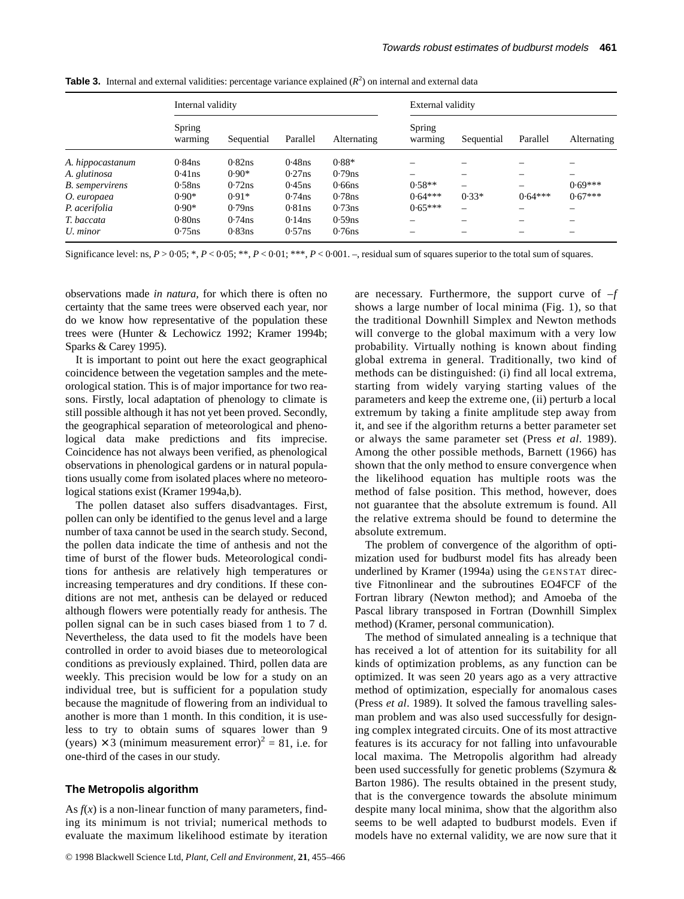|                        | Internal validity |            |           |             | External validity |                          |                          |                          |
|------------------------|-------------------|------------|-----------|-------------|-------------------|--------------------------|--------------------------|--------------------------|
|                        | Spring<br>warming | Sequential | Parallel  | Alternating | Spring<br>warming | Sequential               | Parallel                 | Alternating              |
| A. hippocastanum       | $0.84$ ns         | $0.82$ ns  | $0.48$ ns | $0.88*$     |                   |                          |                          |                          |
| A. glutinosa           | $0.41$ ns         | $0.90*$    | $0.27$ ns | $0.79$ ns   |                   |                          |                          | -                        |
| <b>B.</b> sempervirens | $0.58$ ns         | $0.72$ ns  | $0.45$ ns | $0.66$ ns   | $0.58**$          | -                        | $\overline{\phantom{a}}$ | $0.69***$                |
| O. europaea            | $0.90*$           | $0.91*$    | $0.74$ ns | $0.78$ ns   | $0.64***$         | $0.33*$                  | $0.64***$                | $0.67***$                |
| P. acerifolia          | $0.90*$           | $0.79$ ns  | $0.81$ ns | $0.73$ ns   | $0.65***$         | $\overline{\phantom{a}}$ |                          | $\overline{\phantom{a}}$ |
| T. baccata             | $0.80$ ns         | $0.74$ ns  | $0.14$ ns | $0.59$ ns   |                   | -                        |                          | -                        |
| U. minor               | $0.75$ ns         | $0.83$ ns  | $0.57$ ns | $0.76$ ns   |                   |                          |                          | $\overline{\phantom{a}}$ |

**Table 3.** Internal and external validities: percentage variance explained  $(R^2)$  on internal and external data

Significance level: ns,  $P > 0.05$ ;  $*$ ,  $P < 0.05$ ;  $*$ ,  $P < 0.01$ ;  $*$ ,  $P < 0.001$ . –, residual sum of squares superior to the total sum of squares.

observations made *in natura,* for which there is often no certainty that the same trees were observed each year, nor do we know how representative of the population these trees were (Hunter & Lechowicz 1992; Kramer 1994b; Sparks & Carey 1995).

It is important to point out here the exact geographical coincidence between the vegetation samples and the meteorological station. This is of major importance for two reasons. Firstly, local adaptation of phenology to climate is still possible although it has not yet been proved. Secondly, the geographical separation of meteorological and phenological data make predictions and fits imprecise. Coincidence has not always been verified, as phenological observations in phenological gardens or in natural populations usually come from isolated places where no meteorological stations exist (Kramer 1994a,b).

The pollen dataset also suffers disadvantages. First, pollen can only be identified to the genus level and a large number of taxa cannot be used in the search study. Second, the pollen data indicate the time of anthesis and not the time of burst of the flower buds. Meteorological conditions for anthesis are relatively high temperatures or increasing temperatures and dry conditions. If these conditions are not met, anthesis can be delayed or reduced although flowers were potentially ready for anthesis. The pollen signal can be in such cases biased from 1 to 7 d. Nevertheless, the data used to fit the models have been controlled in order to avoid biases due to meteorological conditions as previously explained. Third, pollen data are weekly. This precision would be low for a study on an individual tree, but is sufficient for a population study because the magnitude of flowering from an individual to another is more than 1 month. In this condition, it is useless to try to obtain sums of squares lower than 9 (years)  $\times$  3 (minimum measurement error)<sup>2</sup> = 81, i.e. for one-third of the cases in our study.

## **The Metropolis algorithm**

As  $f(x)$  is a non-linear function of many parameters, finding its minimum is not trivial; numerical methods to evaluate the maximum likelihood estimate by iteration are necessary. Furthermore, the support curve of –*f* shows a large number of local minima (Fig. 1), so that the traditional Downhill Simplex and Newton methods will converge to the global maximum with a very low probability. Virtually nothing is known about finding global extrema in general. Traditionally, two kind of methods can be distinguished: (i) find all local extrema, starting from widely varying starting values of the parameters and keep the extreme one, (ii) perturb a local extremum by taking a finite amplitude step away from it, and see if the algorithm returns a better parameter set or always the same parameter set (Press *et al*. 1989). Among the other possible methods, Barnett (1966) has shown that the only method to ensure convergence when the likelihood equation has multiple roots was the method of false position. This method, however, does not guarantee that the absolute extremum is found. All the relative extrema should be found to determine the absolute extremum.

The problem of convergence of the algorithm of optimization used for budburst model fits has already been underlined by Kramer (1994a) using the GENSTAT directive Fitnonlinear and the subroutines EO4FCF of the Fortran library (Newton method); and Amoeba of the Pascal library transposed in Fortran (Downhill Simplex method) (Kramer, personal communication).

The method of simulated annealing is a technique that has received a lot of attention for its suitability for all kinds of optimization problems, as any function can be optimized. It was seen 20 years ago as a very attractive method of optimization, especially for anomalous cases (Press *et al*. 1989). It solved the famous travelling salesman problem and was also used successfully for designing complex integrated circuits. One of its most attractive features is its accuracy for not falling into unfavourable local maxima. The Metropolis algorithm had already been used successfully for genetic problems (Szymura & Barton 1986). The results obtained in the present study, that is the convergence towards the absolute minimum despite many local minima, show that the algorithm also seems to be well adapted to budburst models. Even if models have no external validity, we are now sure that it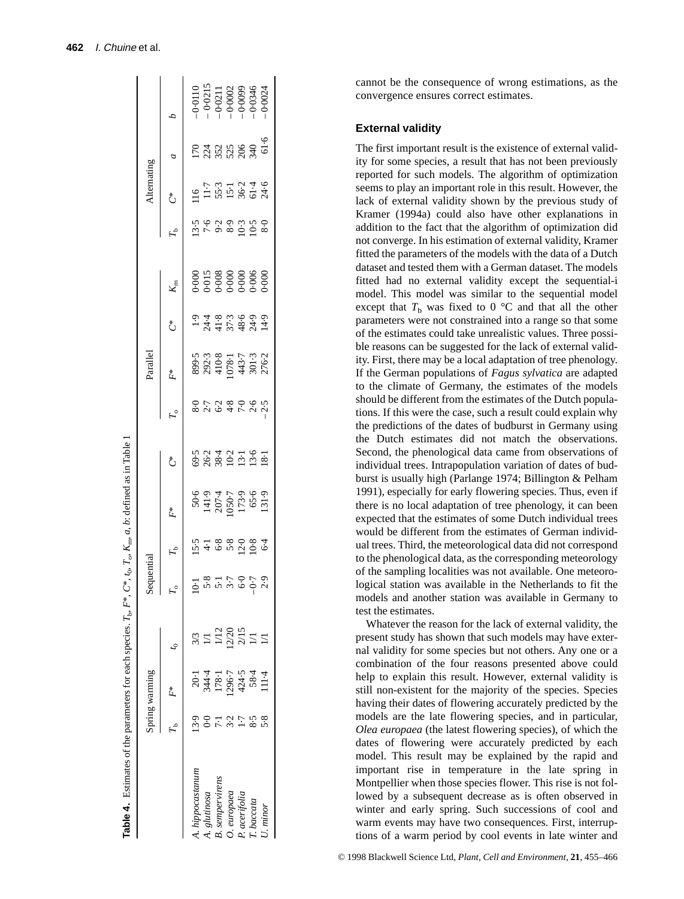|              |                  | pring warming                                  |                                                                                                                                                                                                                 |                                                  |                                      |                                                   |                                                                      |                  | Parallel                                             |                          |             |                            | dernating                             |                                                           |                                                                            |
|--------------|------------------|------------------------------------------------|-----------------------------------------------------------------------------------------------------------------------------------------------------------------------------------------------------------------|--------------------------------------------------|--------------------------------------|---------------------------------------------------|----------------------------------------------------------------------|------------------|------------------------------------------------------|--------------------------|-------------|----------------------------|---------------------------------------|-----------------------------------------------------------|----------------------------------------------------------------------------|
|              |                  |                                                |                                                                                                                                                                                                                 | $F_{\circ}$                                      | $\mathcal{L}^{\circ}$                | ř.                                                | ڷ                                                                    | $\Gamma_{\circ}$ | ř.                                                   | ڷٞ                       | $K_{\rm m}$ | $\mathcal{F}_{\mathsf{b}}$ | ڷٞ                                    | $\overline{a}$                                            | d                                                                          |
|              |                  | $\overline{c}$                                 |                                                                                                                                                                                                                 |                                                  |                                      |                                                   |                                                                      |                  |                                                      |                          |             |                            |                                       |                                                           |                                                                            |
|              |                  |                                                |                                                                                                                                                                                                                 |                                                  |                                      |                                                   |                                                                      |                  |                                                      |                          |             |                            |                                       |                                                           |                                                                            |
| sempervirens | Ξ                |                                                |                                                                                                                                                                                                                 |                                                  |                                      |                                                   |                                                                      |                  |                                                      |                          |             |                            |                                       |                                                           |                                                                            |
| ewopaea      |                  |                                                |                                                                                                                                                                                                                 |                                                  |                                      |                                                   |                                                                      |                  |                                                      |                          |             |                            |                                       |                                                           |                                                                            |
| acerifolic   | $3.75$<br>$-3.5$ | 344.5<br>178.7<br>296.7<br>204<br>38.4<br>11.4 | $\begin{array}{c} \mathbb{S} \subseteq \mathbb{S} \overset{\sim}{\times} \mathbb{S} \subseteq \mathbb{S} \\ \mathbb{S} \subseteq \mathbb{S} \overset{\sim}{\times} \mathbb{S} \subseteq \mathbb{S} \end{array}$ | $10.1$<br>$6.8$ $7.7$<br>$6.7$<br>$6.7$<br>$6.9$ | $15 + 6 + 2 = 6$<br>$15 + 6 + 2 = 6$ | 50-6<br>141-9<br>207-1<br>151-9<br>151-9<br>151-9 | $6.242$<br>$6.242$<br>$6.242$<br>$6.742$<br>$6.15$<br>$6.1$<br>$6.1$ |                  | 5995<br>2023<br>2023<br>2013<br>2013<br>2016<br>2016 | $-3.75821$<br>$-3.75821$ |             | さいこう 2009<br>ことの 2009 20   | $15.31346$<br>$15.31346$<br>$15.3146$ | <u>ក</u><br>ក្តី ដូង ម៉ូន ម៉ូន ម៉ូន<br>ក្តី ដូង ម៉ូន ម៉ូន | $-0.0110$<br>$-0.0215$<br>$-0.0011$<br>$-0.0002$<br>$-0.0009$<br>$-0.0346$ |
| $baccati$    |                  |                                                |                                                                                                                                                                                                                 |                                                  |                                      |                                                   |                                                                      |                  |                                                      |                          |             |                            |                                       |                                                           |                                                                            |
|              | 5.8              |                                                |                                                                                                                                                                                                                 |                                                  |                                      |                                                   |                                                                      |                  |                                                      |                          |             |                            |                                       |                                                           |                                                                            |
|              |                  |                                                |                                                                                                                                                                                                                 |                                                  |                                      |                                                   |                                                                      |                  |                                                      |                          |             |                            |                                       |                                                           |                                                                            |

**Table 4.** Estimates of the parameters for each species.  $T_b$ ,  $F^*$ ,  $C^*$ ,  $t_b$ ,  $T_o$ ,  $K_m$ ,  $a$ ,  $b$ : defined as in Table 1

**Table 4.** Estimates of the parameters for each species.  $T_b$ ,  $F^*$ ,  $C^*$ ,  $t_0$ ,  $T_o$ ,  $K_{\text{nn}}$ ,  $a$ ,  $b$ : defined as in Table 1

cannot be the consequence of wrong estimations, as the convergence ensures correct estimates.

## **External validity**

The first important result is the existence of external validity for some species, a result that has not been previously reported for such models. The algorithm of optimization seems to play an important role in this result. However, the lack of external validity shown by the previous study of Kramer (1994a) could also have other explanations in addition to the fact that the algorithm of optimization did not converge. In his estimation of external validity, Kramer fitted the parameters of the models with the data of a Dutch dataset and tested them with a German dataset. The models fitted had no external validity except the sequential-i model. This model was similar to the sequential model except that  $T<sub>b</sub>$  was fixed to 0  $^{\circ}$ C and that all the other parameters were not constrained into a range so that some of the estimates could take unrealistic values. Three possible reasons can be suggested for the lack of external validity. First, there may be a local adaptation of tree phenology. If the German populations of *Fagus sylvatica* are adapted to the climate of Germany, the estimates of the models should be different from the estimates of the Dutch populations. If this were the case, such a result could explain why the predictions of the dates of budburst in Germany using the Dutch estimates did not match the observations. Second, the phenological data came from observations of individual trees. Intrapopulation variation of dates of budburst is usually high (Parlange 1974; Billington & Pelham 1991), especially for early flowering species. Thus, even if there is no local adaptation of tree phenology, it can been expected that the estimates of some Dutch individual trees would be different from the estimates of German individual trees. Third, the meteorological data did not correspond to the phenological data, as the corresponding meteorology of the sampling localities was not available. One meteorological station was available in the Netherlands to fit the models and another station was available in Germany to test the estimates.

Whatever the reason for the lack of external validity, the present study has shown that such models may have external validity for some species but not others. Any one or a combination of the four reasons presented above could help to explain this result. However, external validity is still non-existent for the majority of the species. Species having their dates of flowering accurately predicted by the models are the late flowering species, and in particular, *Olea europaea* (the latest flowering species), of which the dates of flowering were accurately predicted by each model. This result may be explained by the rapid and important rise in temperature in the late spring in Montpellier when those species flower. This rise is not followed by a subsequent decrease as is often observed in winter and early spring. Such successions of cool and warm events may have two consequences. First, interruptions of a warm period by cool events in late winter and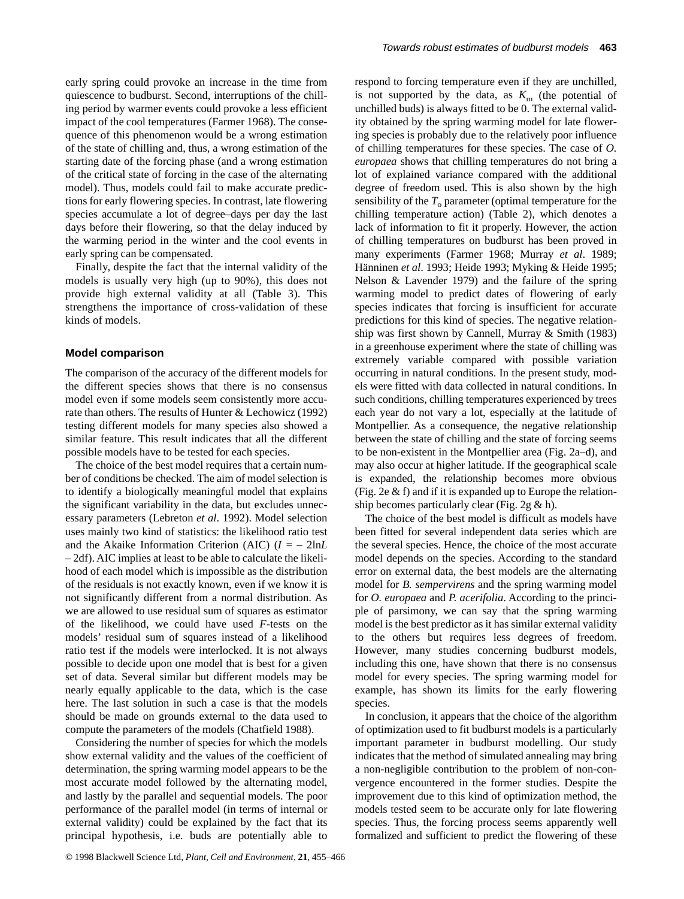early spring could provoke an increase in the time from quiescence to budburst. Second, interruptions of the chilling period by warmer events could provoke a less efficient impact of the cool temperatures (Farmer 1968). The consequence of this phenomenon would be a wrong estimation of the state of chilling and, thus, a wrong estimation of the starting date of the forcing phase (and a wrong estimation of the critical state of forcing in the case of the alternating model). Thus, models could fail to make accurate predictions for early flowering species. In contrast, late flowering species accumulate a lot of degree–days per day the last days before their flowering, so that the delay induced by the warming period in the winter and the cool events in early spring can be compensated.

Finally, despite the fact that the internal validity of the models is usually very high (up to 90%), this does not provide high external validity at all (Table 3). This strengthens the importance of cross-validation of these kinds of models.

## **Model comparison**

The comparison of the accuracy of the different models for the different species shows that there is no consensus model even if some models seem consistently more accurate than others. The results of Hunter & Lechowicz (1992) testing different models for many species also showed a similar feature. This result indicates that all the different possible models have to be tested for each species.

The choice of the best model requires that a certain number of conditions be checked. The aim of model selection is to identify a biologically meaningful model that explains the significant variability in the data, but excludes unnecessary parameters (Lebreton *et al*. 1992). Model selection uses mainly two kind of statistics: the likelihood ratio test and the Akaike Information Criterion (AIC)  $(I = -2 \ln L)$ – 2df). AIC implies at least to be able to calculate the likelihood of each model which is impossible as the distribution of the residuals is not exactly known, even if we know it is not significantly different from a normal distribution. As we are allowed to use residual sum of squares as estimator of the likelihood, we could have used *F*-tests on the models' residual sum of squares instead of a likelihood ratio test if the models were interlocked. It is not always possible to decide upon one model that is best for a given set of data. Several similar but different models may be nearly equally applicable to the data, which is the case here. The last solution in such a case is that the models should be made on grounds external to the data used to compute the parameters of the models (Chatfield 1988).

Considering the number of species for which the models show external validity and the values of the coefficient of determination, the spring warming model appears to be the most accurate model followed by the alternating model, and lastly by the parallel and sequential models. The poor performance of the parallel model (in terms of internal or external validity) could be explained by the fact that its principal hypothesis, i.e. buds are potentially able to respond to forcing temperature even if they are unchilled, is not supported by the data, as  $K<sub>m</sub>$  (the potential of unchilled buds) is always fitted to be 0. The external validity obtained by the spring warming model for late flowering species is probably due to the relatively poor influence of chilling temperatures for these species. The case of *O. europaea* shows that chilling temperatures do not bring a lot of explained variance compared with the additional degree of freedom used. This is also shown by the high sensibility of the  $T_0$  parameter (optimal temperature for the chilling temperature action) (Table 2), which denotes a lack of information to fit it properly. However, the action of chilling temperatures on budburst has been proved in many experiments (Farmer 1968; Murray *et al*. 1989; Hänninen *et al*. 1993; Heide 1993; Myking & Heide 1995; Nelson & Lavender 1979) and the failure of the spring warming model to predict dates of flowering of early species indicates that forcing is insufficient for accurate predictions for this kind of species. The negative relationship was first shown by Cannell, Murray & Smith (1983) in a greenhouse experiment where the state of chilling was extremely variable compared with possible variation occurring in natural conditions. In the present study, models were fitted with data collected in natural conditions. In such conditions, chilling temperatures experienced by trees each year do not vary a lot, especially at the latitude of Montpellier. As a consequence, the negative relationship between the state of chilling and the state of forcing seems to be non-existent in the Montpellier area (Fig. 2a–d), and may also occur at higher latitude. If the geographical scale is expanded, the relationship becomes more obvious (Fig. 2e  $\&$  f) and if it is expanded up to Europe the relationship becomes particularly clear (Fig. 2g  $\&$  h).

The choice of the best model is difficult as models have been fitted for several independent data series which are the several species. Hence, the choice of the most accurate model depends on the species. According to the standard error on external data, the best models are the alternating model for *B. sempervirens* and the spring warming model for *O. europaea* and *P. acerifolia*. According to the principle of parsimony, we can say that the spring warming model is the best predictor as it has similar external validity to the others but requires less degrees of freedom. However, many studies concerning budburst models, including this one, have shown that there is no consensus model for every species. The spring warming model for example, has shown its limits for the early flowering species.

In conclusion, it appears that the choice of the algorithm of optimization used to fit budburst models is a particularly important parameter in budburst modelling. Our study indicates that the method of simulated annealing may bring a non-negligible contribution to the problem of non-convergence encountered in the former studies. Despite the improvement due to this kind of optimization method, the models tested seem to be accurate only for late flowering species. Thus, the forcing process seems apparently well formalized and sufficient to predict the flowering of these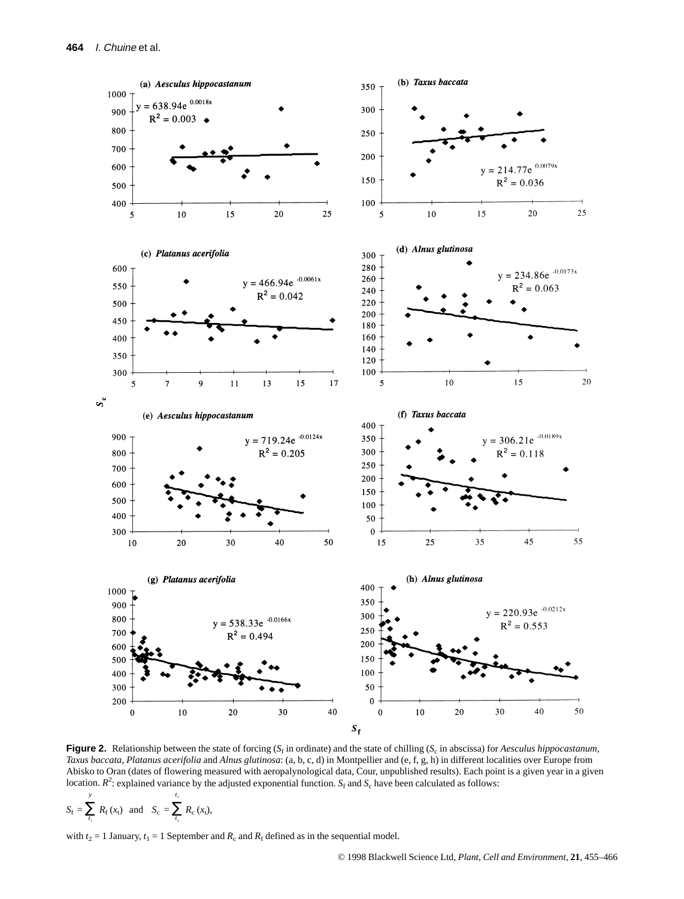

**Figure 2.** Relationship between the state of forcing ( $S_f$  in ordinate) and the state of chilling ( $S_c$  in abscissa) for *Aesculus hippocastanum*, *Taxus baccata*, *Platanus acerifolia* and *Alnus glutinosa*: (a, b, c, d) in Montpellier and (e, f, g, h) in different localities over Europe from Abisko to Oran (dates of flowering measured with aeropalynological data, Cour, unpublished results). Each point is a given year in a given location.  $R^2$ : explained variance by the adjusted exponential function.  $S_f$  and  $S_c$  have been calculated as follows:

$$
S_{\rm f} = \sum_{t_1}^{y} R_{\rm f}(x_t)
$$
 and  $S_{\rm c} = \sum_{t_2}^{t_2} R_{\rm c}(x_t)$ ,

with  $t_2 = 1$  January,  $t_1 = 1$  September and  $R_c$  and  $R_f$  defined as in the sequential model.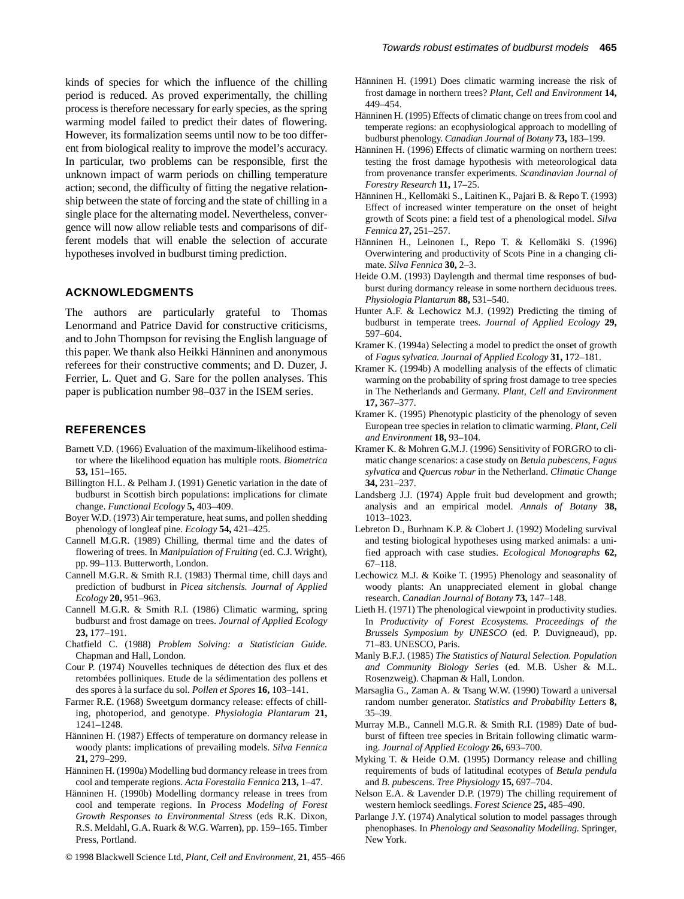kinds of species for which the influence of the chilling period is reduced. As proved experimentally, the chilling process is therefore necessary for early species, as the spring warming model failed to predict their dates of flowering. However, its formalization seems until now to be too different from biological reality to improve the model's accuracy. In particular, two problems can be responsible, first the unknown impact of warm periods on chilling temperature action; second, the difficulty of fitting the negative relationship between the state of forcing and the state of chilling in a single place for the alternating model. Nevertheless, convergence will now allow reliable tests and comparisons of different models that will enable the selection of accurate hypotheses involved in budburst timing prediction.

## **ACKNOWLEDGMENTS**

The authors are particularly grateful to Thomas Lenormand and Patrice David for constructive criticisms, and to John Thompson for revising the English language of this paper. We thank also Heikki Hänninen and anonymous referees for their constructive comments; and D. Duzer, J. Ferrier, L. Quet and G. Sare for the pollen analyses. This paper is publication number 98–037 in the ISEM series.

# **REFERENCES**

- Barnett V.D. (1966) Evaluation of the maximum-likelihood estimator where the likelihood equation has multiple roots. *Biometrica* **53,** 151–165.
- Billington H.L. & Pelham J. (1991) Genetic variation in the date of budburst in Scottish birch populations: implications for climate change. *Functional Ecology* **5,** 403–409.
- Boyer W.D. (1973) Air temperature, heat sums, and pollen shedding phenology of longleaf pine. *Ecology* **54,** 421–425.
- Cannell M.G.R. (1989) Chilling, thermal time and the dates of flowering of trees. In *Manipulation of Fruiting* (ed. C.J. Wright), pp. 99–113. Butterworth, London.
- Cannell M.G.R. & Smith R.I. (1983) Thermal time, chill days and prediction of budburst in *Picea sitchensis. Journal of Applied Ecology* **20,** 951–963.
- Cannell M.G.R. & Smith R.I. (1986) Climatic warming, spring budburst and frost damage on trees. *Journal of Applied Ecology* **23,** 177–191.
- Chatfield C. (1988) *Problem Solving: a Statistician Guide.* Chapman and Hall, London.
- Cour P. (1974) Nouvelles techniques de détection des flux et des retombées polliniques. Etude de la sédimentation des pollens et des spores à la surface du sol. *Pollen et Spores* **16,** 103–141.
- Farmer R.E. (1968) Sweetgum dormancy release: effects of chilling, photoperiod, and genotype. *Physiologia Plantarum* **21,** 1241–1248.
- Hänninen H. (1987) Effects of temperature on dormancy release in woody plants: implications of prevailing models. *Silva Fennica* **21,** 279–299.
- Hänninen H. (1990a) Modelling bud dormancy release in trees from cool and temperate regions. *Acta Forestalia Fennica* **213,** 1–47.
- Hänninen H. (1990b) Modelling dormancy release in trees from cool and temperate regions. In *Process Modeling of Forest Growth Responses to Environmental Stress* (eds R.K. Dixon, R.S. Meldahl, G.A. Ruark & W.G. Warren), pp. 159–165. Timber Press, Portland.
- © 1998 Blackwell Science Ltd, *Plant, Cell and Environment,* **21**, 455–466
- Hänninen H. (1991) Does climatic warming increase the risk of frost damage in northern trees? *Plant, Cell and Environment* **14,** 449–454.
- Hänninen H. (1995) Effects of climatic change on trees from cool and temperate regions: an ecophysiological approach to modelling of budburst phenology. *Canadian Journal of Botany* **73,** 183–199.
- Hänninen H. (1996) Effects of climatic warming on northern trees: testing the frost damage hypothesis with meteorological data from provenance transfer experiments. *Scandinavian Journal of Forestry Research* **11,** 17–25.
- Hänninen H., Kellomäki S., Laitinen K., Pajari B. & Repo T. (1993) Effect of increased winter temperature on the onset of height growth of Scots pine: a field test of a phenological model. *Silva Fennica* **27,** 251–257.
- Hänninen H., Leinonen I., Repo T. & Kellomäki S. (1996) Overwintering and productivity of Scots Pine in a changing climate. *Silva Fennica* **30,** 2–3.
- Heide O.M. (1993) Daylength and thermal time responses of budburst during dormancy release in some northern deciduous trees. *Physiologia Plantarum* **88,** 531–540.
- Hunter A.F. & Lechowicz M.J. (1992) Predicting the timing of budburst in temperate trees. *Journal of Applied Ecology* **29,** 597–604.
- Kramer K. (1994a) Selecting a model to predict the onset of growth of *Fagus sylvatica. Journal of Applied Ecology* **31,** 172–181.
- Kramer K. (1994b) A modelling analysis of the effects of climatic warming on the probability of spring frost damage to tree species in The Netherlands and Germany. *Plant, Cell and Environment* **17,** 367–377.
- Kramer K. (1995) Phenotypic plasticity of the phenology of seven European tree species in relation to climatic warming. *Plant, Cell and Environment* **18,** 93–104.
- Kramer K. & Mohren G.M.J. (1996) Sensitivity of FORGRO to climatic change scenarios: a case study on *Betula pubescens*, *Fagus sylvatica* and *Quercus robur* in the Netherland. *Climatic Change* **34,** 231–237.
- Landsberg J.J. (1974) Apple fruit bud development and growth; analysis and an empirical model. *Annals of Botany* **38,** 1013–1023.
- Lebreton D., Burhnam K.P. & Clobert J. (1992) Modeling survival and testing biological hypotheses using marked animals: a unified approach with case studies. *Ecological Monographs* **62,** 67–118.
- Lechowicz M.J. & Koike T. (1995) Phenology and seasonality of woody plants: An unappreciated element in global change research. *Canadian Journal of Botany* **73,** 147–148.
- Lieth H. (1971) The phenological viewpoint in productivity studies. In *Productivity of Forest Ecosystems. Proceedings of the Brussels Symposium by UNESCO* (ed. P. Duvigneaud), pp. 71–83. UNESCO, Paris.
- Manly B.F.J. (1985) *The Statistics of Natural Selection. Population and Community Biology Series* (ed. M.B. Usher & M.L. Rosenzweig). Chapman & Hall, London.
- Marsaglia G., Zaman A. & Tsang W.W. (1990) Toward a universal random number generator. *Statistics and Probability Letters* **8,** 35–39.
- Murray M.B., Cannell M.G.R. & Smith R.I. (1989) Date of budburst of fifteen tree species in Britain following climatic warming. *Journal of Applied Ecology* **26,** 693–700.
- Myking T. & Heide O.M. (1995) Dormancy release and chilling requirements of buds of latitudinal ecotypes of *Betula pendula* and *B. pubescens. Tree Physiology* **15,** 697–704.
- Nelson E.A. & Lavender D.P. (1979) The chilling requirement of western hemlock seedlings. *Forest Science* **25,** 485–490.
- Parlange J.Y. (1974) Analytical solution to model passages through phenophases. In *Phenology and Seasonality Modelling.* Springer, New York.